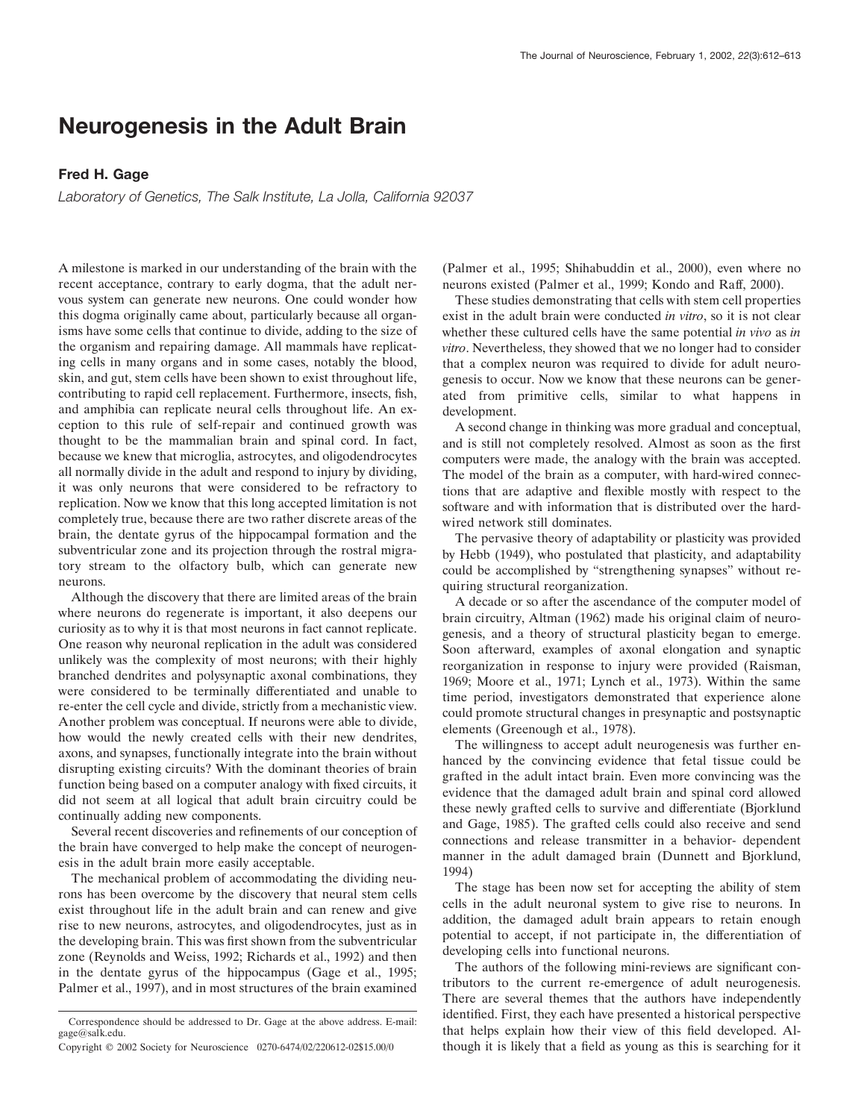## **Neurogenesis in the Adult Brain**

## **Fred H. Gage**

*Laboratory of Genetics, The Salk Institute, La Jolla, California 92037*

A milestone is marked in our understanding of the brain with the recent acceptance, contrary to early dogma, that the adult nervous system can generate new neurons. One could wonder how this dogma originally came about, particularly because all organisms have some cells that continue to divide, adding to the size of the organism and repairing damage. All mammals have replicating cells in many organs and in some cases, notably the blood, skin, and gut, stem cells have been shown to exist throughout life, contributing to rapid cell replacement. Furthermore, insects, fish, and amphibia can replicate neural cells throughout life. An exception to this rule of self-repair and continued growth was thought to be the mammalian brain and spinal cord. In fact, because we knew that microglia, astrocytes, and oligodendrocytes all normally divide in the adult and respond to injury by dividing, it was only neurons that were considered to be refractory to replication. Now we know that this long accepted limitation is not completely true, because there are two rather discrete areas of the brain, the dentate gyrus of the hippocampal formation and the subventricular zone and its projection through the rostral migratory stream to the olfactory bulb, which can generate new neurons.

Although the discovery that there are limited areas of the brain where neurons do regenerate is important, it also deepens our curiosity as to why it is that most neurons in fact cannot replicate. One reason why neuronal replication in the adult was considered unlikely was the complexity of most neurons; with their highly branched dendrites and polysynaptic axonal combinations, they were considered to be terminally differentiated and unable to re-enter the cell cycle and divide, strictly from a mechanistic view. Another problem was conceptual. If neurons were able to divide, how would the newly created cells with their new dendrites, axons, and synapses, functionally integrate into the brain without disrupting existing circuits? With the dominant theories of brain function being based on a computer analogy with fixed circuits, it did not seem at all logical that adult brain circuitry could be continually adding new components.

Several recent discoveries and refinements of our conception of the brain have converged to help make the concept of neurogenesis in the adult brain more easily acceptable.

The mechanical problem of accommodating the dividing neurons has been overcome by the discovery that neural stem cells exist throughout life in the adult brain and can renew and give rise to new neurons, astrocytes, and oligodendrocytes, just as in the developing brain. This was first shown from the subventricular zone (Reynolds and Weiss, 1992; Richards et al., 1992) and then in the dentate gyrus of the hippocampus (Gage et al., 1995; Palmer et al., 1997), and in most structures of the brain examined

(Palmer et al., 1995; Shihabuddin et al., 2000), even where no neurons existed (Palmer et al., 1999; Kondo and Raff, 2000).

These studies demonstrating that cells with stem cell properties exist in the adult brain were conducted *in vitro*, so it is not clear whether these cultured cells have the same potential *in vivo* as *in vitro*. Nevertheless, they showed that we no longer had to consider that a complex neuron was required to divide for adult neurogenesis to occur. Now we know that these neurons can be generated from primitive cells, similar to what happens in development.

A second change in thinking was more gradual and conceptual, and is still not completely resolved. Almost as soon as the first computers were made, the analogy with the brain was accepted. The model of the brain as a computer, with hard-wired connections that are adaptive and flexible mostly with respect to the software and with information that is distributed over the hardwired network still dominates.

The pervasive theory of adaptability or plasticity was provided by Hebb (1949), who postulated that plasticity, and adaptability could be accomplished by "strengthening synapses" without requiring structural reorganization.

A decade or so after the ascendance of the computer model of brain circuitry, Altman (1962) made his original claim of neurogenesis, and a theory of structural plasticity began to emerge. Soon afterward, examples of axonal elongation and synaptic reorganization in response to injury were provided (Raisman, 1969; Moore et al., 1971; Lynch et al., 1973). Within the same time period, investigators demonstrated that experience alone could promote structural changes in presynaptic and postsynaptic elements (Greenough et al., 1978).

The willingness to accept adult neurogenesis was further enhanced by the convincing evidence that fetal tissue could be grafted in the adult intact brain. Even more convincing was the evidence that the damaged adult brain and spinal cord allowed these newly grafted cells to survive and differentiate (Bjorklund and Gage, 1985). The grafted cells could also receive and send connections and release transmitter in a behavior- dependent manner in the adult damaged brain (Dunnett and Bjorklund, 1994)

The stage has been now set for accepting the ability of stem cells in the adult neuronal system to give rise to neurons. In addition, the damaged adult brain appears to retain enough potential to accept, if not participate in, the differentiation of developing cells into functional neurons.

The authors of the following mini-reviews are significant contributors to the current re-emergence of adult neurogenesis. There are several themes that the authors have independently identified. First, they each have presented a historical perspective that helps explain how their view of this field developed. Although it is likely that a field as young as this is searching for it

Correspondence should be addressed to Dr. Gage at the above address. E-mail: gage@salk.edu.

Copyright © 2002 Society for Neuroscience 0270-6474/02/220612-02\$15.00/0